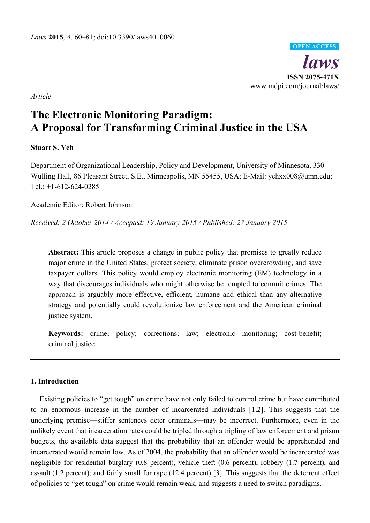

*Article* 

# **The Electronic Monitoring Paradigm: A Proposal for Transforming Criminal Justice in the USA**

## **Stuart S. Yeh**

Department of Organizational Leadership, Policy and Development, University of Minnesota, 330 Wulling Hall, 86 Pleasant Street, S.E., Minneapolis, MN 55455, USA; E-Mail: yehxx008@umn.edu; Tel.: +1-612-624-0285

Academic Editor: Robert Johnson

*Received: 2 October 2014 / Accepted: 19 January 2015 / Published: 27 January 2015* 

**Abstract:** This article proposes a change in public policy that promises to greatly reduce major crime in the United States, protect society, eliminate prison overcrowding, and save taxpayer dollars. This policy would employ electronic monitoring (EM) technology in a way that discourages individuals who might otherwise be tempted to commit crimes. The approach is arguably more effective, efficient, humane and ethical than any alternative strategy and potentially could revolutionize law enforcement and the American criminal justice system.

**Keywords:** crime; policy; corrections; law; electronic monitoring; cost-benefit; criminal justice

## **1. Introduction**

Existing policies to "get tough" on crime have not only failed to control crime but have contributed to an enormous increase in the number of incarcerated individuals [1,2]. This suggests that the underlying premise—stiffer sentences deter criminals—may be incorrect. Furthermore, even in the unlikely event that incarceration rates could be tripled through a tripling of law enforcement and prison budgets, the available data suggest that the probability that an offender would be apprehended and incarcerated would remain low. As of 2004, the probability that an offender would be incarcerated was negligible for residential burglary (0.8 percent), vehicle theft (0.6 percent), robbery (1.7 percent), and assault (1.2 percent); and fairly small for rape (12.4 percent) [3]. This suggests that the deterrent effect of policies to "get tough" on crime would remain weak, and suggests a need to switch paradigms.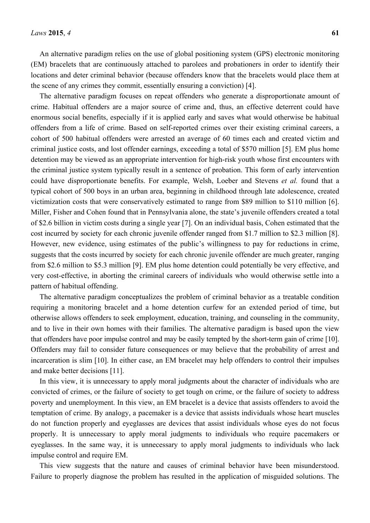An alternative paradigm relies on the use of global positioning system (GPS) electronic monitoring (EM) bracelets that are continuously attached to parolees and probationers in order to identify their locations and deter criminal behavior (because offenders know that the bracelets would place them at the scene of any crimes they commit, essentially ensuring a conviction) [4].

The alternative paradigm focuses on repeat offenders who generate a disproportionate amount of crime. Habitual offenders are a major source of crime and, thus, an effective deterrent could have enormous social benefits, especially if it is applied early and saves what would otherwise be habitual offenders from a life of crime. Based on self-reported crimes over their existing criminal careers, a cohort of 500 habitual offenders were arrested an average of 60 times each and created victim and criminal justice costs, and lost offender earnings, exceeding a total of \$570 million [5]. EM plus home detention may be viewed as an appropriate intervention for high-risk youth whose first encounters with the criminal justice system typically result in a sentence of probation. This form of early intervention could have disproportionate benefits. For example, Welsh, Loeber and Stevens *et al.* found that a typical cohort of 500 boys in an urban area, beginning in childhood through late adolescence, created victimization costs that were conservatively estimated to range from \$89 million to \$110 million [6]. Miller, Fisher and Cohen found that in Pennsylvania alone, the state's juvenile offenders created a total of \$2.6 billion in victim costs during a single year [7]. On an individual basis, Cohen estimated that the cost incurred by society for each chronic juvenile offender ranged from \$1.7 million to \$2.3 million [8]. However, new evidence, using estimates of the public's willingness to pay for reductions in crime, suggests that the costs incurred by society for each chronic juvenile offender are much greater, ranging from \$2.6 million to \$5.3 million [9]. EM plus home detention could potentially be very effective, and very cost-effective, in aborting the criminal careers of individuals who would otherwise settle into a pattern of habitual offending.

The alternative paradigm conceptualizes the problem of criminal behavior as a treatable condition requiring a monitoring bracelet and a home detention curfew for an extended period of time, but otherwise allows offenders to seek employment, education, training, and counseling in the community, and to live in their own homes with their families. The alternative paradigm is based upon the view that offenders have poor impulse control and may be easily tempted by the short-term gain of crime [10]. Offenders may fail to consider future consequences or may believe that the probability of arrest and incarceration is slim [10]. In either case, an EM bracelet may help offenders to control their impulses and make better decisions [11].

In this view, it is unnecessary to apply moral judgments about the character of individuals who are convicted of crimes, or the failure of society to get tough on crime, or the failure of society to address poverty and unemployment. In this view, an EM bracelet is a device that assists offenders to avoid the temptation of crime. By analogy, a pacemaker is a device that assists individuals whose heart muscles do not function properly and eyeglasses are devices that assist individuals whose eyes do not focus properly. It is unnecessary to apply moral judgments to individuals who require pacemakers or eyeglasses. In the same way, it is unnecessary to apply moral judgments to individuals who lack impulse control and require EM.

This view suggests that the nature and causes of criminal behavior have been misunderstood. Failure to properly diagnose the problem has resulted in the application of misguided solutions. The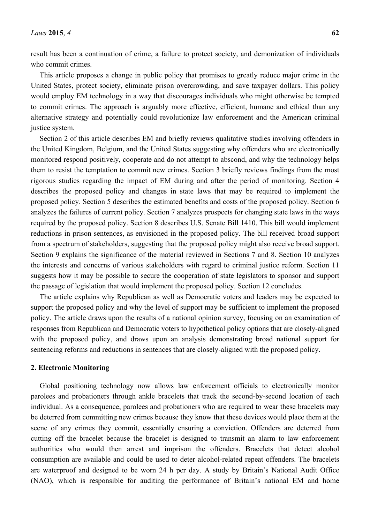result has been a continuation of crime, a failure to protect society, and demonization of individuals who commit crimes.

This article proposes a change in public policy that promises to greatly reduce major crime in the United States, protect society, eliminate prison overcrowding, and save taxpayer dollars. This policy would employ EM technology in a way that discourages individuals who might otherwise be tempted to commit crimes. The approach is arguably more effective, efficient, humane and ethical than any alternative strategy and potentially could revolutionize law enforcement and the American criminal justice system.

Section 2 of this article describes EM and briefly reviews qualitative studies involving offenders in the United Kingdom, Belgium, and the United States suggesting why offenders who are electronically monitored respond positively, cooperate and do not attempt to abscond, and why the technology helps them to resist the temptation to commit new crimes. Section 3 briefly reviews findings from the most rigorous studies regarding the impact of EM during and after the period of monitoring. Section 4 describes the proposed policy and changes in state laws that may be required to implement the proposed policy. Section 5 describes the estimated benefits and costs of the proposed policy. Section 6 analyzes the failures of current policy. Section 7 analyzes prospects for changing state laws in the ways required by the proposed policy. Section 8 describes U.S. Senate Bill 1410. This bill would implement reductions in prison sentences, as envisioned in the proposed policy. The bill received broad support from a spectrum of stakeholders, suggesting that the proposed policy might also receive broad support. Section 9 explains the significance of the material reviewed in Sections 7 and 8. Section 10 analyzes the interests and concerns of various stakeholders with regard to criminal justice reform. Section 11 suggests how it may be possible to secure the cooperation of state legislators to sponsor and support the passage of legislation that would implement the proposed policy. Section 12 concludes.

The article explains why Republican as well as Democratic voters and leaders may be expected to support the proposed policy and why the level of support may be sufficient to implement the proposed policy. The article draws upon the results of a national opinion survey, focusing on an examination of responses from Republican and Democratic voters to hypothetical policy options that are closely-aligned with the proposed policy, and draws upon an analysis demonstrating broad national support for sentencing reforms and reductions in sentences that are closely-aligned with the proposed policy.

#### **2. Electronic Monitoring**

Global positioning technology now allows law enforcement officials to electronically monitor parolees and probationers through ankle bracelets that track the second-by-second location of each individual. As a consequence, parolees and probationers who are required to wear these bracelets may be deterred from committing new crimes because they know that these devices would place them at the scene of any crimes they commit, essentially ensuring a conviction. Offenders are deterred from cutting off the bracelet because the bracelet is designed to transmit an alarm to law enforcement authorities who would then arrest and imprison the offenders. Bracelets that detect alcohol consumption are available and could be used to deter alcohol-related repeat offenders. The bracelets are waterproof and designed to be worn 24 h per day. A study by Britain's National Audit Office (NAO), which is responsible for auditing the performance of Britain's national EM and home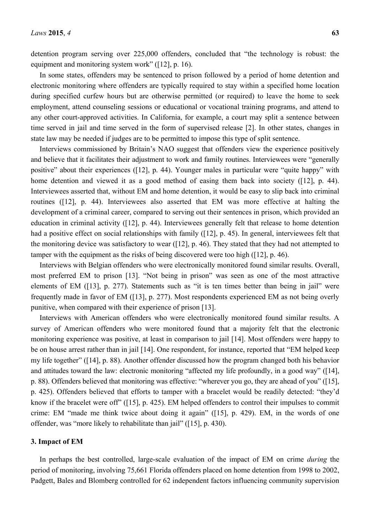detention program serving over 225,000 offenders, concluded that "the technology is robust: the equipment and monitoring system work" ([12], p. 16).

In some states, offenders may be sentenced to prison followed by a period of home detention and electronic monitoring where offenders are typically required to stay within a specified home location during specified curfew hours but are otherwise permitted (or required) to leave the home to seek employment, attend counseling sessions or educational or vocational training programs, and attend to any other court-approved activities. In California, for example, a court may split a sentence between time served in jail and time served in the form of supervised release [2]. In other states, changes in state law may be needed if judges are to be permitted to impose this type of split sentence.

Interviews commissioned by Britain's NAO suggest that offenders view the experience positively and believe that it facilitates their adjustment to work and family routines. Interviewees were "generally positive" about their experiences ([12], p. 44). Younger males in particular were "quite happy" with home detention and viewed it as a good method of easing them back into society ([12], p. 44). Interviewees asserted that, without EM and home detention, it would be easy to slip back into criminal routines ([12], p. 44). Interviewees also asserted that EM was more effective at halting the development of a criminal career, compared to serving out their sentences in prison, which provided an education in criminal activity ([12], p. 44). Interviewees generally felt that release to home detention had a positive effect on social relationships with family ([12], p. 45). In general, interviewees felt that the monitoring device was satisfactory to wear ([12], p. 46). They stated that they had not attempted to tamper with the equipment as the risks of being discovered were too high ([12], p. 46).

Interviews with Belgian offenders who were electronically monitored found similar results. Overall, most preferred EM to prison [13]. "Not being in prison" was seen as one of the most attractive elements of EM ([13], p. 277). Statements such as "it is ten times better than being in jail" were frequently made in favor of EM ([13], p. 277). Most respondents experienced EM as not being overly punitive, when compared with their experience of prison [13].

Interviews with American offenders who were electronically monitored found similar results. A survey of American offenders who were monitored found that a majority felt that the electronic monitoring experience was positive, at least in comparison to jail [14]. Most offenders were happy to be on house arrest rather than in jail [14]. One respondent, for instance, reported that "EM helped keep my life together" ([14], p. 88). Another offender discussed how the program changed both his behavior and attitudes toward the law: electronic monitoring "affected my life profoundly, in a good way" ([14], p. 88). Offenders believed that monitoring was effective: "wherever you go, they are ahead of you" ([15], p. 425). Offenders believed that efforts to tamper with a bracelet would be readily detected: "they'd know if the bracelet were off" ([15], p. 425). EM helped offenders to control their impulses to commit crime: EM "made me think twice about doing it again" ([15], p. 429). EM, in the words of one offender, was "more likely to rehabilitate than jail" ([15], p. 430).

#### **3. Impact of EM**

In perhaps the best controlled, large-scale evaluation of the impact of EM on crime *during* the period of monitoring, involving 75,661 Florida offenders placed on home detention from 1998 to 2002, Padgett, Bales and Blomberg controlled for 62 independent factors influencing community supervision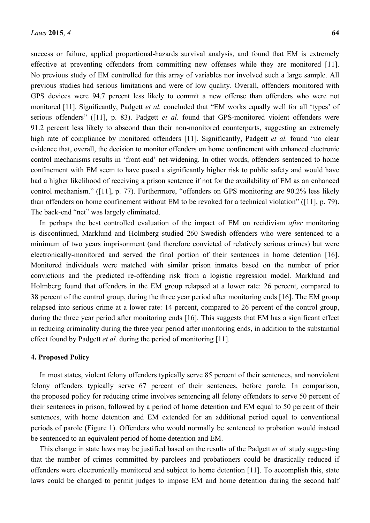success or failure, applied proportional-hazards survival analysis, and found that EM is extremely effective at preventing offenders from committing new offenses while they are monitored [11]. No previous study of EM controlled for this array of variables nor involved such a large sample. All previous studies had serious limitations and were of low quality. Overall, offenders monitored with GPS devices were 94.7 percent less likely to commit a new offense than offenders who were not monitored [11]. Significantly, Padgett *et al.* concluded that "EM works equally well for all 'types' of serious offenders" ([11], p. 83). Padgett *et al.* found that GPS-monitored violent offenders were 91.2 percent less likely to abscond than their non-monitored counterparts, suggesting an extremely high rate of compliance by monitored offenders [11]. Significantly, Padgett *et al.* found "no clear evidence that, overall, the decision to monitor offenders on home confinement with enhanced electronic control mechanisms results in 'front-end' net-widening. In other words, offenders sentenced to home confinement with EM seem to have posed a significantly higher risk to public safety and would have had a higher likelihood of receiving a prison sentence if not for the availability of EM as an enhanced control mechanism." ([11], p. 77). Furthermore, "offenders on GPS monitoring are 90.2% less likely than offenders on home confinement without EM to be revoked for a technical violation" ([11], p. 79). The back-end "net" was largely eliminated.

In perhaps the best controlled evaluation of the impact of EM on recidivism *after* monitoring is discontinued, Marklund and Holmberg studied 260 Swedish offenders who were sentenced to a minimum of two years imprisonment (and therefore convicted of relatively serious crimes) but were electronically-monitored and served the final portion of their sentences in home detention [16]. Monitored individuals were matched with similar prison inmates based on the number of prior convictions and the predicted re-offending risk from a logistic regression model. Marklund and Holmberg found that offenders in the EM group relapsed at a lower rate: 26 percent, compared to 38 percent of the control group, during the three year period after monitoring ends [16]. The EM group relapsed into serious crime at a lower rate: 14 percent, compared to 26 percent of the control group, during the three year period after monitoring ends [16]. This suggests that EM has a significant effect in reducing criminality during the three year period after monitoring ends, in addition to the substantial effect found by Padgett *et al.* during the period of monitoring [11].

## **4. Proposed Policy**

In most states, violent felony offenders typically serve 85 percent of their sentences, and nonviolent felony offenders typically serve 67 percent of their sentences, before parole. In comparison, the proposed policy for reducing crime involves sentencing all felony offenders to serve 50 percent of their sentences in prison, followed by a period of home detention and EM equal to 50 percent of their sentences, with home detention and EM extended for an additional period equal to conventional periods of parole (Figure 1). Offenders who would normally be sentenced to probation would instead be sentenced to an equivalent period of home detention and EM.

This change in state laws may be justified based on the results of the Padgett *et al.* study suggesting that the number of crimes committed by parolees and probationers could be drastically reduced if offenders were electronically monitored and subject to home detention [11]. To accomplish this, state laws could be changed to permit judges to impose EM and home detention during the second half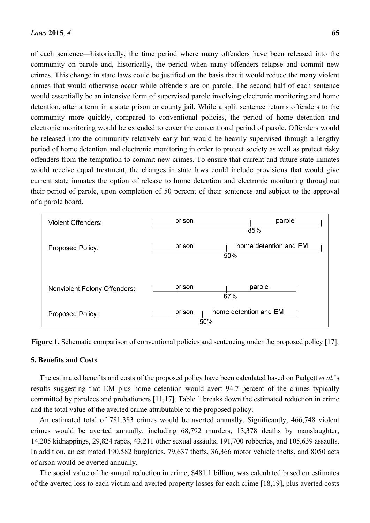of each sentence—historically, the time period where many offenders have been released into the community on parole and, historically, the period when many offenders relapse and commit new crimes. This change in state laws could be justified on the basis that it would reduce the many violent crimes that would otherwise occur while offenders are on parole. The second half of each sentence would essentially be an intensive form of supervised parole involving electronic monitoring and home detention, after a term in a state prison or county jail. While a split sentence returns offenders to the community more quickly, compared to conventional policies, the period of home detention and electronic monitoring would be extended to cover the conventional period of parole. Offenders would be released into the community relatively early but would be heavily supervised through a lengthy period of home detention and electronic monitoring in order to protect society as well as protect risky offenders from the temptation to commit new crimes. To ensure that current and future state inmates would receive equal treatment, the changes in state laws could include provisions that would give current state inmates the option of release to home detention and electronic monitoring throughout their period of parole, upon completion of 50 percent of their sentences and subject to the approval of a parole board.



**Figure 1.** Schematic comparison of conventional policies and sentencing under the proposed policy [17].

# **5. Benefits and Costs**

The estimated benefits and costs of the proposed policy have been calculated based on Padgett *et al.*'s results suggesting that EM plus home detention would avert 94.7 percent of the crimes typically committed by parolees and probationers [11,17]. Table 1 breaks down the estimated reduction in crime and the total value of the averted crime attributable to the proposed policy.

An estimated total of 781,383 crimes would be averted annually. Significantly, 466,748 violent crimes would be averted annually, including 68,792 murders, 13,378 deaths by manslaughter, 14,205 kidnappings, 29,824 rapes, 43,211 other sexual assaults, 191,700 robberies, and 105,639 assaults. In addition, an estimated 190,582 burglaries, 79,637 thefts, 36,366 motor vehicle thefts, and 8050 acts of arson would be averted annually.

The social value of the annual reduction in crime, \$481.1 billion, was calculated based on estimates of the averted loss to each victim and averted property losses for each crime [18,19], plus averted costs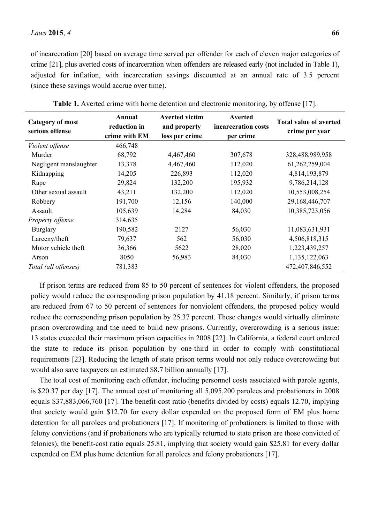of incarceration [20] based on average time served per offender for each of eleven major categories of crime [21], plus averted costs of incarceration when offenders are released early (not included in Table 1), adjusted for inflation, with incarceration savings discounted at an annual rate of 3.5 percent (since these savings would accrue over time).

| <b>Category of most</b><br>serious offense | Annual<br>reduction in<br>crime with EM | <b>Averted victim</b><br>and property<br>loss per crime | Averted<br>incarceration costs<br>per crime | <b>Total value of averted</b><br>crime per year |
|--------------------------------------------|-----------------------------------------|---------------------------------------------------------|---------------------------------------------|-------------------------------------------------|
| Violent offense                            | 466,748                                 |                                                         |                                             |                                                 |
| Murder                                     | 68,792                                  | 4,467,460                                               | 307,678                                     | 328,488,989,958                                 |
| Negligent manslaughter                     | 13,378                                  | 4,467,460                                               | 112,020                                     | 61,262,259,004                                  |
| Kidnapping                                 | 14,205                                  | 226,893                                                 | 112,020                                     | 4,814,193,879                                   |
| Rape                                       | 29,824                                  | 132,200                                                 | 195,932                                     | 9,786,214,128                                   |
| Other sexual assault                       | 43,211                                  | 132,200                                                 | 112,020                                     | 10,553,008,254                                  |
| Robbery                                    | 191,700                                 | 12,156                                                  | 140,000                                     | 29,168,446,707                                  |
| Assault                                    | 105,639                                 | 14,284                                                  | 84,030                                      | 10,385,723,056                                  |
| Property offense                           | 314,635                                 |                                                         |                                             |                                                 |
| <b>Burglary</b>                            | 190,582                                 | 2127                                                    | 56,030                                      | 11,083,631,931                                  |
| Larceny/theft                              | 79,637                                  | 562                                                     | 56,030                                      | 4,506,818,315                                   |
| Motor vehicle theft                        | 36,366                                  | 5622                                                    | 28,020                                      | 1,223,439,257                                   |
| Arson                                      | 8050                                    | 56,983                                                  | 84,030                                      | 1,135,122,063                                   |
| Total (all offenses)                       | 781,383                                 |                                                         |                                             | 472,407,846,552                                 |

**Table 1.** Averted crime with home detention and electronic monitoring, by offense [17].

If prison terms are reduced from 85 to 50 percent of sentences for violent offenders, the proposed policy would reduce the corresponding prison population by 41.18 percent. Similarly, if prison terms are reduced from 67 to 50 percent of sentences for nonviolent offenders, the proposed policy would reduce the corresponding prison population by 25.37 percent. These changes would virtually eliminate prison overcrowding and the need to build new prisons. Currently, overcrowding is a serious issue: 13 states exceeded their maximum prison capacities in 2008 [22]. In California, a federal court ordered the state to reduce its prison population by one-third in order to comply with constitutional requirements [23]. Reducing the length of state prison terms would not only reduce overcrowding but would also save taxpayers an estimated \$8.7 billion annually [17].

The total cost of monitoring each offender, including personnel costs associated with parole agents, is \$20.37 per day [17]. The annual cost of monitoring all 5,095,200 parolees and probationers in 2008 equals \$37,883,066,760 [17]. The benefit-cost ratio (benefits divided by costs) equals 12.70, implying that society would gain \$12.70 for every dollar expended on the proposed form of EM plus home detention for all parolees and probationers [17]. If monitoring of probationers is limited to those with felony convictions (and if probationers who are typically returned to state prison are those convicted of felonies), the benefit-cost ratio equals 25.81, implying that society would gain \$25.81 for every dollar expended on EM plus home detention for all parolees and felony probationers [17].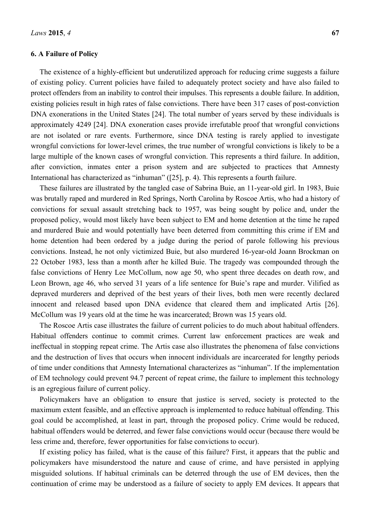#### **6. A Failure of Policy**

The existence of a highly-efficient but underutilized approach for reducing crime suggests a failure of existing policy. Current policies have failed to adequately protect society and have also failed to protect offenders from an inability to control their impulses. This represents a double failure. In addition, existing policies result in high rates of false convictions. There have been 317 cases of post-conviction DNA exonerations in the United States [24]. The total number of years served by these individuals is approximately 4249 [24]. DNA exoneration cases provide irrefutable proof that wrongful convictions are not isolated or rare events. Furthermore, since DNA testing is rarely applied to investigate wrongful convictions for lower-level crimes, the true number of wrongful convictions is likely to be a large multiple of the known cases of wrongful conviction. This represents a third failure. In addition, after conviction, inmates enter a prison system and are subjected to practices that Amnesty International has characterized as "inhuman" ([25], p. 4). This represents a fourth failure.

These failures are illustrated by the tangled case of Sabrina Buie, an 11-year-old girl. In 1983, Buie was brutally raped and murdered in Red Springs, North Carolina by Roscoe Artis, who had a history of convictions for sexual assault stretching back to 1957, was being sought by police and, under the proposed policy, would most likely have been subject to EM and home detention at the time he raped and murdered Buie and would potentially have been deterred from committing this crime if EM and home detention had been ordered by a judge during the period of parole following his previous convictions. Instead, he not only victimized Buie, but also murdered 16-year-old Joann Brockman on 22 October 1983, less than a month after he killed Buie. The tragedy was compounded through the false convictions of Henry Lee McCollum, now age 50, who spent three decades on death row, and Leon Brown, age 46, who served 31 years of a life sentence for Buie's rape and murder. Vilified as depraved murderers and deprived of the best years of their lives, both men were recently declared innocent and released based upon DNA evidence that cleared them and implicated Artis [26]. McCollum was 19 years old at the time he was incarcerated; Brown was 15 years old.

The Roscoe Artis case illustrates the failure of current policies to do much about habitual offenders. Habitual offenders continue to commit crimes. Current law enforcement practices are weak and ineffectual in stopping repeat crime. The Artis case also illustrates the phenomena of false convictions and the destruction of lives that occurs when innocent individuals are incarcerated for lengthy periods of time under conditions that Amnesty International characterizes as "inhuman". If the implementation of EM technology could prevent 94.7 percent of repeat crime, the failure to implement this technology is an egregious failure of current policy.

Policymakers have an obligation to ensure that justice is served, society is protected to the maximum extent feasible, and an effective approach is implemented to reduce habitual offending. This goal could be accomplished, at least in part, through the proposed policy. Crime would be reduced, habitual offenders would be deterred, and fewer false convictions would occur (because there would be less crime and, therefore, fewer opportunities for false convictions to occur).

If existing policy has failed, what is the cause of this failure? First, it appears that the public and policymakers have misunderstood the nature and cause of crime, and have persisted in applying misguided solutions. If habitual criminals can be deterred through the use of EM devices, then the continuation of crime may be understood as a failure of society to apply EM devices. It appears that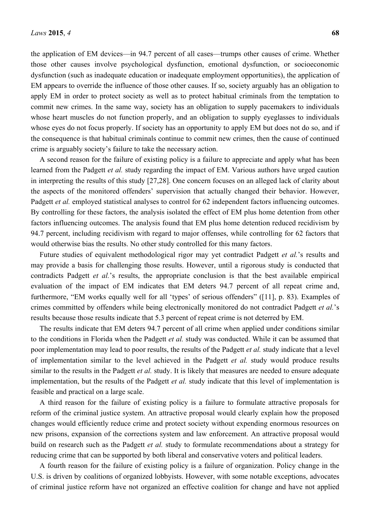the application of EM devices—in 94.7 percent of all cases—trumps other causes of crime. Whether those other causes involve psychological dysfunction, emotional dysfunction, or socioeconomic dysfunction (such as inadequate education or inadequate employment opportunities), the application of EM appears to override the influence of those other causes. If so, society arguably has an obligation to apply EM in order to protect society as well as to protect habitual criminals from the temptation to commit new crimes. In the same way, society has an obligation to supply pacemakers to individuals whose heart muscles do not function properly, and an obligation to supply eyeglasses to individuals whose eyes do not focus properly. If society has an opportunity to apply EM but does not do so, and if the consequence is that habitual criminals continue to commit new crimes, then the cause of continued crime is arguably society's failure to take the necessary action.

A second reason for the failure of existing policy is a failure to appreciate and apply what has been learned from the Padgett *et al.* study regarding the impact of EM. Various authors have urged caution in interpreting the results of this study [27,28]. One concern focuses on an alleged lack of clarity about the aspects of the monitored offenders' supervision that actually changed their behavior. However, Padgett *et al.* employed statistical analyses to control for 62 independent factors influencing outcomes. By controlling for these factors, the analysis isolated the effect of EM plus home detention from other factors influencing outcomes. The analysis found that EM plus home detention reduced recidivism by 94.7 percent, including recidivism with regard to major offenses, while controlling for 62 factors that would otherwise bias the results. No other study controlled for this many factors.

Future studies of equivalent methodological rigor may yet contradict Padgett *et al.*'s results and may provide a basis for challenging those results. However, until a rigorous study is conducted that contradicts Padgett *et al.*'s results, the appropriate conclusion is that the best available empirical evaluation of the impact of EM indicates that EM deters 94.7 percent of all repeat crime and, furthermore, "EM works equally well for all 'types' of serious offenders" ([11], p. 83). Examples of crimes committed by offenders while being electronically monitored do not contradict Padgett *et al.*'s results because those results indicate that 5.3 percent of repeat crime is not deterred by EM.

The results indicate that EM deters 94.7 percent of all crime when applied under conditions similar to the conditions in Florida when the Padgett *et al.* study was conducted. While it can be assumed that poor implementation may lead to poor results, the results of the Padgett *et al.* study indicate that a level of implementation similar to the level achieved in the Padgett *et al.* study would produce results similar to the results in the Padgett *et al.* study. It is likely that measures are needed to ensure adequate implementation, but the results of the Padgett *et al.* study indicate that this level of implementation is feasible and practical on a large scale.

A third reason for the failure of existing policy is a failure to formulate attractive proposals for reform of the criminal justice system. An attractive proposal would clearly explain how the proposed changes would efficiently reduce crime and protect society without expending enormous resources on new prisons, expansion of the corrections system and law enforcement. An attractive proposal would build on research such as the Padgett *et al.* study to formulate recommendations about a strategy for reducing crime that can be supported by both liberal and conservative voters and political leaders.

A fourth reason for the failure of existing policy is a failure of organization. Policy change in the U.S. is driven by coalitions of organized lobbyists. However, with some notable exceptions, advocates of criminal justice reform have not organized an effective coalition for change and have not applied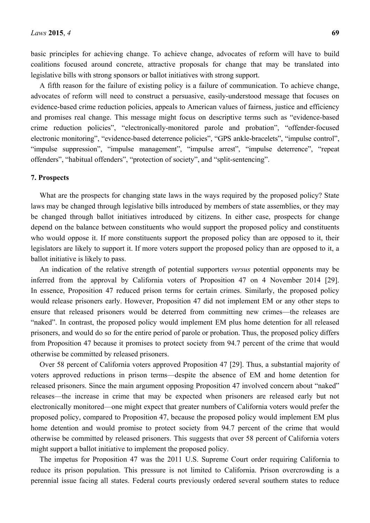basic principles for achieving change. To achieve change, advocates of reform will have to build coalitions focused around concrete, attractive proposals for change that may be translated into legislative bills with strong sponsors or ballot initiatives with strong support.

A fifth reason for the failure of existing policy is a failure of communication. To achieve change, advocates of reform will need to construct a persuasive, easily-understood message that focuses on evidence-based crime reduction policies, appeals to American values of fairness, justice and efficiency and promises real change. This message might focus on descriptive terms such as "evidence-based crime reduction policies", "electronically-monitored parole and probation", "offender-focused electronic monitoring", "evidence-based deterrence policies", "GPS ankle-bracelets", "impulse control", "impulse suppression", "impulse management", "impulse arrest", "impulse deterrence", "repeat offenders", "habitual offenders", "protection of society", and "split-sentencing".

#### **7. Prospects**

What are the prospects for changing state laws in the ways required by the proposed policy? State laws may be changed through legislative bills introduced by members of state assemblies, or they may be changed through ballot initiatives introduced by citizens. In either case, prospects for change depend on the balance between constituents who would support the proposed policy and constituents who would oppose it. If more constituents support the proposed policy than are opposed to it, their legislators are likely to support it. If more voters support the proposed policy than are opposed to it, a ballot initiative is likely to pass.

An indication of the relative strength of potential supporters *versus* potential opponents may be inferred from the approval by California voters of Proposition 47 on 4 November 2014 [29]. In essence, Proposition 47 reduced prison terms for certain crimes. Similarly, the proposed policy would release prisoners early. However, Proposition 47 did not implement EM or any other steps to ensure that released prisoners would be deterred from committing new crimes—the releases are "naked". In contrast, the proposed policy would implement EM plus home detention for all released prisoners, and would do so for the entire period of parole or probation. Thus, the proposed policy differs from Proposition 47 because it promises to protect society from 94.7 percent of the crime that would otherwise be committed by released prisoners.

Over 58 percent of California voters approved Proposition 47 [29]. Thus, a substantial majority of voters approved reductions in prison terms—despite the absence of EM and home detention for released prisoners. Since the main argument opposing Proposition 47 involved concern about "naked" releases—the increase in crime that may be expected when prisoners are released early but not electronically monitored—one might expect that greater numbers of California voters would prefer the proposed policy, compared to Proposition 47, because the proposed policy would implement EM plus home detention and would promise to protect society from 94.7 percent of the crime that would otherwise be committed by released prisoners. This suggests that over 58 percent of California voters might support a ballot initiative to implement the proposed policy.

The impetus for Proposition 47 was the 2011 U.S. Supreme Court order requiring California to reduce its prison population. This pressure is not limited to California. Prison overcrowding is a perennial issue facing all states. Federal courts previously ordered several southern states to reduce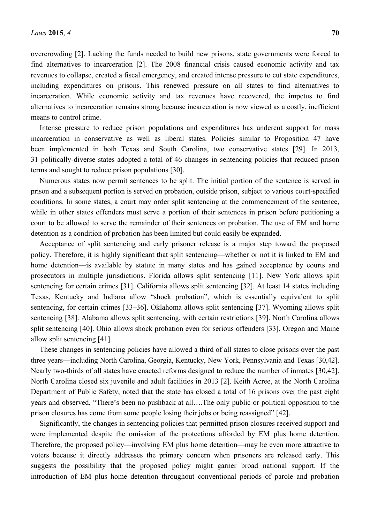overcrowding [2]. Lacking the funds needed to build new prisons, state governments were forced to find alternatives to incarceration [2]. The 2008 financial crisis caused economic activity and tax revenues to collapse, created a fiscal emergency, and created intense pressure to cut state expenditures, including expenditures on prisons. This renewed pressure on all states to find alternatives to incarceration. While economic activity and tax revenues have recovered, the impetus to find alternatives to incarceration remains strong because incarceration is now viewed as a costly, inefficient means to control crime.

Intense pressure to reduce prison populations and expenditures has undercut support for mass incarceration in conservative as well as liberal states. Policies similar to Proposition 47 have been implemented in both Texas and South Carolina, two conservative states [29]. In 2013, 31 politically-diverse states adopted a total of 46 changes in sentencing policies that reduced prison terms and sought to reduce prison populations [30].

Numerous states now permit sentences to be split. The initial portion of the sentence is served in prison and a subsequent portion is served on probation, outside prison, subject to various court-specified conditions. In some states, a court may order split sentencing at the commencement of the sentence, while in other states offenders must serve a portion of their sentences in prison before petitioning a court to be allowed to serve the remainder of their sentences on probation. The use of EM and home detention as a condition of probation has been limited but could easily be expanded.

Acceptance of split sentencing and early prisoner release is a major step toward the proposed policy. Therefore, it is highly significant that split sentencing—whether or not it is linked to EM and home detention—is available by statute in many states and has gained acceptance by courts and prosecutors in multiple jurisdictions. Florida allows split sentencing [11]. New York allows split sentencing for certain crimes [31]. California allows split sentencing [32]. At least 14 states including Texas, Kentucky and Indiana allow "shock probation", which is essentially equivalent to split sentencing, for certain crimes [33–36]. Oklahoma allows split sentencing [37]. Wyoming allows split sentencing [38]. Alabama allows split sentencing, with certain restrictions [39]. North Carolina allows split sentencing [40]. Ohio allows shock probation even for serious offenders [33]. Oregon and Maine allow split sentencing [41].

These changes in sentencing policies have allowed a third of all states to close prisons over the past three years—including North Carolina, Georgia, Kentucky, New York, Pennsylvania and Texas [30,42]. Nearly two-thirds of all states have enacted reforms designed to reduce the number of inmates [30,42]. North Carolina closed six juvenile and adult facilities in 2013 [2]. Keith Acree, at the North Carolina Department of Public Safety, noted that the state has closed a total of 16 prisons over the past eight years and observed, "There's been no pushback at all….The only public or political opposition to the prison closures has come from some people losing their jobs or being reassigned" [42].

Significantly, the changes in sentencing policies that permitted prison closures received support and were implemented despite the omission of the protections afforded by EM plus home detention. Therefore, the proposed policy—involving EM plus home detention—may be even more attractive to voters because it directly addresses the primary concern when prisoners are released early. This suggests the possibility that the proposed policy might garner broad national support. If the introduction of EM plus home detention throughout conventional periods of parole and probation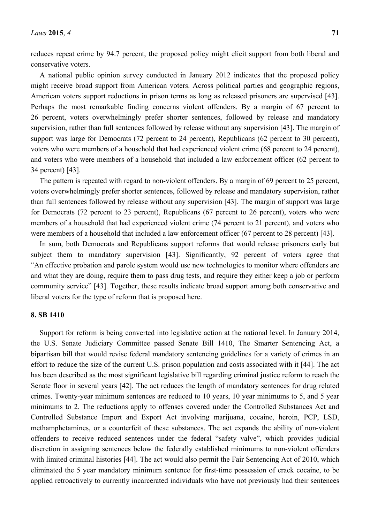reduces repeat crime by 94.7 percent, the proposed policy might elicit support from both liberal and conservative voters.

A national public opinion survey conducted in January 2012 indicates that the proposed policy might receive broad support from American voters. Across political parties and geographic regions, American voters support reductions in prison terms as long as released prisoners are supervised [43]. Perhaps the most remarkable finding concerns violent offenders. By a margin of 67 percent to 26 percent, voters overwhelmingly prefer shorter sentences, followed by release and mandatory supervision, rather than full sentences followed by release without any supervision [43]. The margin of support was large for Democrats (72 percent to 24 percent), Republicans (62 percent to 30 percent), voters who were members of a household that had experienced violent crime (68 percent to 24 percent), and voters who were members of a household that included a law enforcement officer (62 percent to 34 percent) [43].

The pattern is repeated with regard to non-violent offenders. By a margin of 69 percent to 25 percent, voters overwhelmingly prefer shorter sentences, followed by release and mandatory supervision, rather than full sentences followed by release without any supervision [43]. The margin of support was large for Democrats (72 percent to 23 percent), Republicans (67 percent to 26 percent), voters who were members of a household that had experienced violent crime (74 percent to 21 percent), and voters who were members of a household that included a law enforcement officer (67 percent to 28 percent) [43].

In sum, both Democrats and Republicans support reforms that would release prisoners early but subject them to mandatory supervision [43]. Significantly, 92 percent of voters agree that "An effective probation and parole system would use new technologies to monitor where offenders are and what they are doing, require them to pass drug tests, and require they either keep a job or perform community service" [43]. Together, these results indicate broad support among both conservative and liberal voters for the type of reform that is proposed here.

#### **8. SB 1410**

Support for reform is being converted into legislative action at the national level. In January 2014, the U.S. Senate Judiciary Committee passed Senate Bill 1410, The Smarter Sentencing Act, a bipartisan bill that would revise federal mandatory sentencing guidelines for a variety of crimes in an effort to reduce the size of the current U.S. prison population and costs associated with it [44]. The act has been described as the most significant legislative bill regarding criminal justice reform to reach the Senate floor in several years [42]. The act reduces the length of mandatory sentences for drug related crimes. Twenty-year minimum sentences are reduced to 10 years, 10 year minimums to 5, and 5 year minimums to 2. The reductions apply to offenses covered under the Controlled Substances Act and Controlled Substance Import and Export Act involving marijuana, cocaine, heroin, PCP, LSD, methamphetamines, or a counterfeit of these substances. The act expands the ability of non-violent offenders to receive reduced sentences under the federal "safety valve", which provides judicial discretion in assigning sentences below the federally established minimums to non-violent offenders with limited criminal histories [44]. The act would also permit the Fair Sentencing Act of 2010, which eliminated the 5 year mandatory minimum sentence for first-time possession of crack cocaine, to be applied retroactively to currently incarcerated individuals who have not previously had their sentences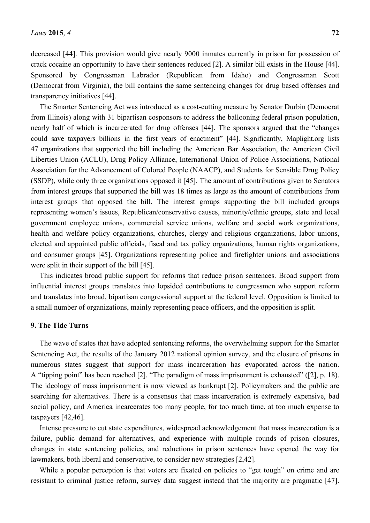decreased [44]. This provision would give nearly 9000 inmates currently in prison for possession of crack cocaine an opportunity to have their sentences reduced [2]. A similar bill exists in the House [44]. Sponsored by Congressman Labrador (Republican from Idaho) and Congressman Scott (Democrat from Virginia), the bill contains the same sentencing changes for drug based offenses and transparency initiatives [44].

The Smarter Sentencing Act was introduced as a cost-cutting measure by Senator Durbin (Democrat from Illinois) along with 31 bipartisan cosponsors to address the ballooning federal prison population, nearly half of which is incarcerated for drug offenses [44]. The sponsors argued that the "changes could save taxpayers billions in the first years of enactment" [44]. Significantly, Maplight.org lists 47 organizations that supported the bill including the American Bar Association, the American Civil Liberties Union (ACLU), Drug Policy Alliance, International Union of Police Associations, National Association for the Advancement of Colored People (NAACP), and Students for Sensible Drug Policy (SSDP), while only three organizations opposed it [45]. The amount of contributions given to Senators from interest groups that supported the bill was 18 times as large as the amount of contributions from interest groups that opposed the bill. The interest groups supporting the bill included groups representing women's issues, Republican/conservative causes, minority/ethnic groups, state and local government employee unions, commercial service unions, welfare and social work organizations, health and welfare policy organizations, churches, clergy and religious organizations, labor unions, elected and appointed public officials, fiscal and tax policy organizations, human rights organizations, and consumer groups [45]. Organizations representing police and firefighter unions and associations were split in their support of the bill [45].

This indicates broad public support for reforms that reduce prison sentences. Broad support from influential interest groups translates into lopsided contributions to congressmen who support reform and translates into broad, bipartisan congressional support at the federal level. Opposition is limited to a small number of organizations, mainly representing peace officers, and the opposition is split.

# **9. The Tide Turns**

The wave of states that have adopted sentencing reforms, the overwhelming support for the Smarter Sentencing Act, the results of the January 2012 national opinion survey, and the closure of prisons in numerous states suggest that support for mass incarceration has evaporated across the nation. A "tipping point" has been reached [2]. "The paradigm of mass imprisonment is exhausted" ([2], p. 18). The ideology of mass imprisonment is now viewed as bankrupt [2]. Policymakers and the public are searching for alternatives. There is a consensus that mass incarceration is extremely expensive, bad social policy, and America incarcerates too many people, for too much time, at too much expense to taxpayers [42,46].

Intense pressure to cut state expenditures, widespread acknowledgement that mass incarceration is a failure, public demand for alternatives, and experience with multiple rounds of prison closures, changes in state sentencing policies, and reductions in prison sentences have opened the way for lawmakers, both liberal and conservative, to consider new strategies [2,42].

While a popular perception is that voters are fixated on policies to "get tough" on crime and are resistant to criminal justice reform, survey data suggest instead that the majority are pragmatic [47].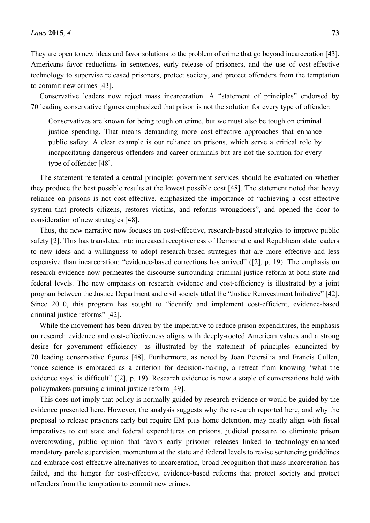Conservative leaders now reject mass incarceration. A "statement of principles" endorsed by 70 leading conservative figures emphasized that prison is not the solution for every type of offender:

Conservatives are known for being tough on crime, but we must also be tough on criminal justice spending. That means demanding more cost-effective approaches that enhance public safety. A clear example is our reliance on prisons, which serve a critical role by incapacitating dangerous offenders and career criminals but are not the solution for every type of offender [48].

The statement reiterated a central principle: government services should be evaluated on whether they produce the best possible results at the lowest possible cost [48]. The statement noted that heavy reliance on prisons is not cost-effective, emphasized the importance of "achieving a cost-effective system that protects citizens, restores victims, and reforms wrongdoers", and opened the door to consideration of new strategies [48].

Thus, the new narrative now focuses on cost-effective, research-based strategies to improve public safety [2]. This has translated into increased receptiveness of Democratic and Republican state leaders to new ideas and a willingness to adopt research-based strategies that are more effective and less expensive than incarceration: "evidence-based corrections has arrived" ([2], p. 19). The emphasis on research evidence now permeates the discourse surrounding criminal justice reform at both state and federal levels. The new emphasis on research evidence and cost-efficiency is illustrated by a joint program between the Justice Department and civil society titled the "Justice Reinvestment Initiative" [42]. Since 2010, this program has sought to "identify and implement cost-efficient, evidence-based criminal justice reforms" [42].

While the movement has been driven by the imperative to reduce prison expenditures, the emphasis on research evidence and cost-effectiveness aligns with deeply-rooted American values and a strong desire for government efficiency—as illustrated by the statement of principles enunciated by 70 leading conservative figures [48]. Furthermore, as noted by Joan Petersilia and Francis Cullen, "once science is embraced as a criterion for decision-making, a retreat from knowing 'what the evidence says' is difficult" ([2], p. 19). Research evidence is now a staple of conversations held with policymakers pursuing criminal justice reform [49].

This does not imply that policy is normally guided by research evidence or would be guided by the evidence presented here. However, the analysis suggests why the research reported here, and why the proposal to release prisoners early but require EM plus home detention, may neatly align with fiscal imperatives to cut state and federal expenditures on prisons, judicial pressure to eliminate prison overcrowding, public opinion that favors early prisoner releases linked to technology-enhanced mandatory parole supervision, momentum at the state and federal levels to revise sentencing guidelines and embrace cost-effective alternatives to incarceration, broad recognition that mass incarceration has failed, and the hunger for cost-effective, evidence-based reforms that protect society and protect offenders from the temptation to commit new crimes.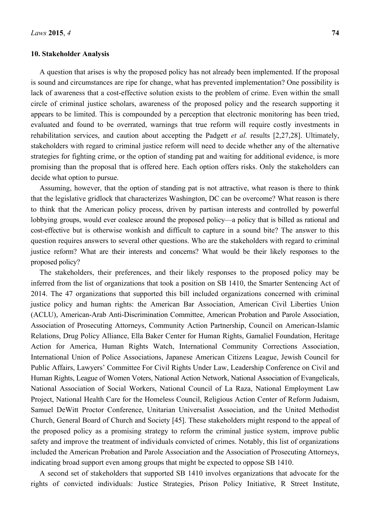#### **10. Stakeholder Analysis**

A question that arises is why the proposed policy has not already been implemented. If the proposal is sound and circumstances are ripe for change, what has prevented implementation? One possibility is lack of awareness that a cost-effective solution exists to the problem of crime. Even within the small circle of criminal justice scholars, awareness of the proposed policy and the research supporting it appears to be limited. This is compounded by a perception that electronic monitoring has been tried, evaluated and found to be overrated, warnings that true reform will require costly investments in rehabilitation services, and caution about accepting the Padgett *et al.* results [2,27,28]. Ultimately, stakeholders with regard to criminal justice reform will need to decide whether any of the alternative strategies for fighting crime, or the option of standing pat and waiting for additional evidence, is more promising than the proposal that is offered here. Each option offers risks. Only the stakeholders can decide what option to pursue.

Assuming, however, that the option of standing pat is not attractive, what reason is there to think that the legislative gridlock that characterizes Washington, DC can be overcome? What reason is there to think that the American policy process, driven by partisan interests and controlled by powerful lobbying groups, would ever coalesce around the proposed policy—a policy that is billed as rational and cost-effective but is otherwise wonkish and difficult to capture in a sound bite? The answer to this question requires answers to several other questions. Who are the stakeholders with regard to criminal justice reform? What are their interests and concerns? What would be their likely responses to the proposed policy?

The stakeholders, their preferences, and their likely responses to the proposed policy may be inferred from the list of organizations that took a position on SB 1410, the Smarter Sentencing Act of 2014. The 47 organizations that supported this bill included organizations concerned with criminal justice policy and human rights: the American Bar Association, American Civil Liberties Union (ACLU), American-Arab Anti-Discrimination Committee, American Probation and Parole Association, Association of Prosecuting Attorneys, Community Action Partnership, Council on American-Islamic Relations, Drug Policy Alliance, Ella Baker Center for Human Rights, Gamaliel Foundation, Heritage Action for America, Human Rights Watch, International Community Corrections Association, International Union of Police Associations, Japanese American Citizens League, Jewish Council for Public Affairs, Lawyers' Committee For Civil Rights Under Law, Leadership Conference on Civil and Human Rights, League of Women Voters, National Action Network, National Association of Evangelicals, National Association of Social Workers, National Council of La Raza, National Employment Law Project, National Health Care for the Homeless Council, Religious Action Center of Reform Judaism, Samuel DeWitt Proctor Conference, Unitarian Universalist Association, and the United Methodist Church, General Board of Church and Society [45]. These stakeholders might respond to the appeal of the proposed policy as a promising strategy to reform the criminal justice system, improve public safety and improve the treatment of individuals convicted of crimes. Notably, this list of organizations included the American Probation and Parole Association and the Association of Prosecuting Attorneys, indicating broad support even among groups that might be expected to oppose SB 1410.

A second set of stakeholders that supported SB 1410 involves organizations that advocate for the rights of convicted individuals: Justice Strategies, Prison Policy Initiative, R Street Institute,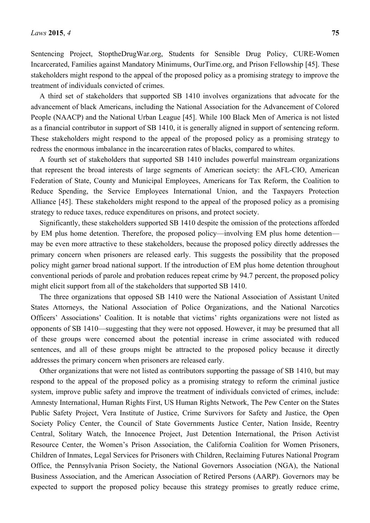Sentencing Project, StoptheDrugWar.org, Students for Sensible Drug Policy, CURE-Women Incarcerated, Families against Mandatory Minimums, OurTime.org, and Prison Fellowship [45]. These stakeholders might respond to the appeal of the proposed policy as a promising strategy to improve the treatment of individuals convicted of crimes.

A third set of stakeholders that supported SB 1410 involves organizations that advocate for the advancement of black Americans, including the National Association for the Advancement of Colored People (NAACP) and the National Urban League [45]. While 100 Black Men of America is not listed as a financial contributor in support of SB 1410, it is generally aligned in support of sentencing reform. These stakeholders might respond to the appeal of the proposed policy as a promising strategy to redress the enormous imbalance in the incarceration rates of blacks, compared to whites.

A fourth set of stakeholders that supported SB 1410 includes powerful mainstream organizations that represent the broad interests of large segments of American society: the AFL-CIO, American Federation of State, County and Municipal Employees, Americans for Tax Reform, the Coalition to Reduce Spending, the Service Employees International Union, and the Taxpayers Protection Alliance [45]. These stakeholders might respond to the appeal of the proposed policy as a promising strategy to reduce taxes, reduce expenditures on prisons, and protect society.

Significantly, these stakeholders supported SB 1410 despite the omission of the protections afforded by EM plus home detention. Therefore, the proposed policy—involving EM plus home detention may be even more attractive to these stakeholders, because the proposed policy directly addresses the primary concern when prisoners are released early. This suggests the possibility that the proposed policy might garner broad national support. If the introduction of EM plus home detention throughout conventional periods of parole and probation reduces repeat crime by 94.7 percent, the proposed policy might elicit support from all of the stakeholders that supported SB 1410.

The three organizations that opposed SB 1410 were the National Association of Assistant United States Attorneys, the National Association of Police Organizations, and the National Narcotics Officers' Associations' Coalition. It is notable that victims' rights organizations were not listed as opponents of SB 1410—suggesting that they were not opposed. However, it may be presumed that all of these groups were concerned about the potential increase in crime associated with reduced sentences, and all of these groups might be attracted to the proposed policy because it directly addresses the primary concern when prisoners are released early.

Other organizations that were not listed as contributors supporting the passage of SB 1410, but may respond to the appeal of the proposed policy as a promising strategy to reform the criminal justice system, improve public safety and improve the treatment of individuals convicted of crimes, include: Amnesty International, Human Rights First, US Human Rights Network, The Pew Center on the States Public Safety Project, Vera Institute of Justice, Crime Survivors for Safety and Justice, the Open Society Policy Center, the Council of State Governments Justice Center, Nation Inside, Reentry Central, Solitary Watch, the Innocence Project, Just Detention International, the Prison Activist Resource Center, the Women's Prison Association, the California Coalition for Women Prisoners, Children of Inmates, Legal Services for Prisoners with Children, Reclaiming Futures National Program Office, the Pennsylvania Prison Society, the National Governors Association (NGA), the National Business Association, and the American Association of Retired Persons (AARP). Governors may be expected to support the proposed policy because this strategy promises to greatly reduce crime,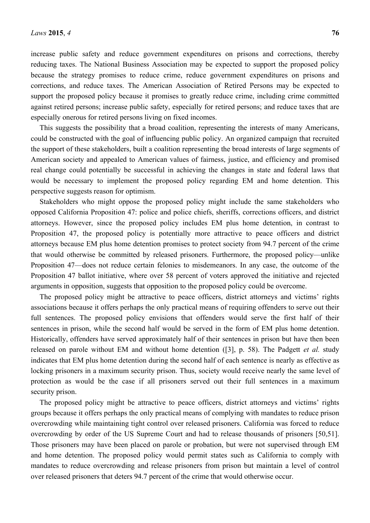increase public safety and reduce government expenditures on prisons and corrections, thereby reducing taxes. The National Business Association may be expected to support the proposed policy because the strategy promises to reduce crime, reduce government expenditures on prisons and corrections, and reduce taxes. The American Association of Retired Persons may be expected to support the proposed policy because it promises to greatly reduce crime, including crime committed against retired persons; increase public safety, especially for retired persons; and reduce taxes that are especially onerous for retired persons living on fixed incomes.

This suggests the possibility that a broad coalition, representing the interests of many Americans, could be constructed with the goal of influencing public policy. An organized campaign that recruited the support of these stakeholders, built a coalition representing the broad interests of large segments of American society and appealed to American values of fairness, justice, and efficiency and promised real change could potentially be successful in achieving the changes in state and federal laws that would be necessary to implement the proposed policy regarding EM and home detention. This perspective suggests reason for optimism.

Stakeholders who might oppose the proposed policy might include the same stakeholders who opposed California Proposition 47: police and police chiefs, sheriffs, corrections officers, and district attorneys. However, since the proposed policy includes EM plus home detention, in contrast to Proposition 47, the proposed policy is potentially more attractive to peace officers and district attorneys because EM plus home detention promises to protect society from 94.7 percent of the crime that would otherwise be committed by released prisoners. Furthermore, the proposed policy—unlike Proposition 47—does not reduce certain felonies to misdemeanors. In any case, the outcome of the Proposition 47 ballot initiative, where over 58 percent of voters approved the initiative and rejected arguments in opposition, suggests that opposition to the proposed policy could be overcome.

The proposed policy might be attractive to peace officers, district attorneys and victims' rights associations because it offers perhaps the only practical means of requiring offenders to serve out their full sentences. The proposed policy envisions that offenders would serve the first half of their sentences in prison, while the second half would be served in the form of EM plus home detention. Historically, offenders have served approximately half of their sentences in prison but have then been released on parole without EM and without home detention ([3], p. 58). The Padgett *et al.* study indicates that EM plus home detention during the second half of each sentence is nearly as effective as locking prisoners in a maximum security prison. Thus, society would receive nearly the same level of protection as would be the case if all prisoners served out their full sentences in a maximum security prison.

The proposed policy might be attractive to peace officers, district attorneys and victims' rights groups because it offers perhaps the only practical means of complying with mandates to reduce prison overcrowding while maintaining tight control over released prisoners. California was forced to reduce overcrowding by order of the US Supreme Court and had to release thousands of prisoners [50,51]. Those prisoners may have been placed on parole or probation, but were not supervised through EM and home detention. The proposed policy would permit states such as California to comply with mandates to reduce overcrowding and release prisoners from prison but maintain a level of control over released prisoners that deters 94.7 percent of the crime that would otherwise occur.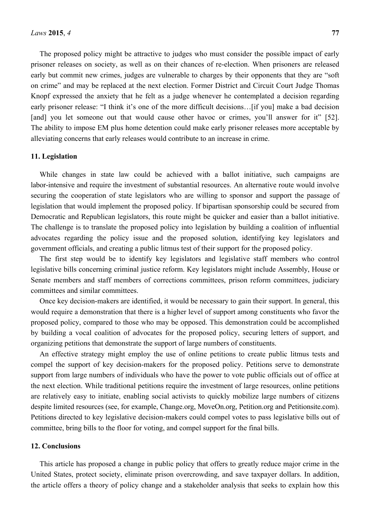The proposed policy might be attractive to judges who must consider the possible impact of early prisoner releases on society, as well as on their chances of re-election. When prisoners are released early but commit new crimes, judges are vulnerable to charges by their opponents that they are "soft on crime" and may be replaced at the next election. Former District and Circuit Court Judge Thomas Knopf expressed the anxiety that he felt as a judge whenever he contemplated a decision regarding early prisoner release: "I think it's one of the more difficult decisions... Iif youl make a bad decision [and] you let someone out that would cause other havoc or crimes, you'll answer for it" [52]. The ability to impose EM plus home detention could make early prisoner releases more acceptable by alleviating concerns that early releases would contribute to an increase in crime.

#### **11. Legislation**

While changes in state law could be achieved with a ballot initiative, such campaigns are labor-intensive and require the investment of substantial resources. An alternative route would involve securing the cooperation of state legislators who are willing to sponsor and support the passage of legislation that would implement the proposed policy. If bipartisan sponsorship could be secured from Democratic and Republican legislators, this route might be quicker and easier than a ballot initiative. The challenge is to translate the proposed policy into legislation by building a coalition of influential advocates regarding the policy issue and the proposed solution, identifying key legislators and government officials, and creating a public litmus test of their support for the proposed policy.

The first step would be to identify key legislators and legislative staff members who control legislative bills concerning criminal justice reform. Key legislators might include Assembly, House or Senate members and staff members of corrections committees, prison reform committees, judiciary committees and similar committees.

Once key decision-makers are identified, it would be necessary to gain their support. In general, this would require a demonstration that there is a higher level of support among constituents who favor the proposed policy, compared to those who may be opposed. This demonstration could be accomplished by building a vocal coalition of advocates for the proposed policy, securing letters of support, and organizing petitions that demonstrate the support of large numbers of constituents.

An effective strategy might employ the use of online petitions to create public litmus tests and compel the support of key decision-makers for the proposed policy. Petitions serve to demonstrate support from large numbers of individuals who have the power to vote public officials out of office at the next election. While traditional petitions require the investment of large resources, online petitions are relatively easy to initiate, enabling social activists to quickly mobilize large numbers of citizens despite limited resources (see, for example, Change.org, MoveOn.org, Petition.org and Petitionsite.com). Petitions directed to key legislative decision-makers could compel votes to pass legislative bills out of committee, bring bills to the floor for voting, and compel support for the final bills.

#### **12. Conclusions**

This article has proposed a change in public policy that offers to greatly reduce major crime in the United States, protect society, eliminate prison overcrowding, and save taxpayer dollars. In addition, the article offers a theory of policy change and a stakeholder analysis that seeks to explain how this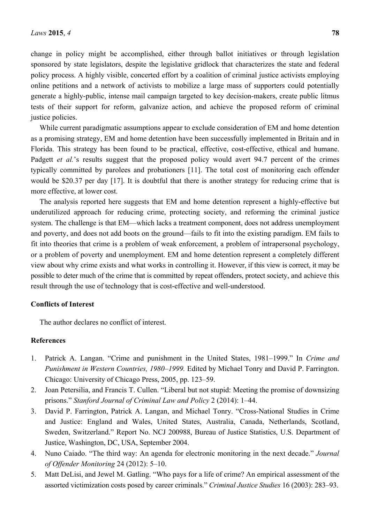change in policy might be accomplished, either through ballot initiatives or through legislation sponsored by state legislators, despite the legislative gridlock that characterizes the state and federal policy process. A highly visible, concerted effort by a coalition of criminal justice activists employing online petitions and a network of activists to mobilize a large mass of supporters could potentially generate a highly-public, intense mail campaign targeted to key decision-makers, create public litmus tests of their support for reform, galvanize action, and achieve the proposed reform of criminal justice policies.

While current paradigmatic assumptions appear to exclude consideration of EM and home detention as a promising strategy, EM and home detention have been successfully implemented in Britain and in Florida. This strategy has been found to be practical, effective, cost-effective, ethical and humane. Padgett *et al.*'s results suggest that the proposed policy would avert 94.7 percent of the crimes typically committed by parolees and probationers [11]. The total cost of monitoring each offender would be \$20.37 per day [17]. It is doubtful that there is another strategy for reducing crime that is more effective, at lower cost.

The analysis reported here suggests that EM and home detention represent a highly-effective but underutilized approach for reducing crime, protecting society, and reforming the criminal justice system. The challenge is that EM—which lacks a treatment component, does not address unemployment and poverty, and does not add boots on the ground—fails to fit into the existing paradigm. EM fails to fit into theories that crime is a problem of weak enforcement, a problem of intrapersonal psychology, or a problem of poverty and unemployment. EM and home detention represent a completely different view about why crime exists and what works in controlling it. However, if this view is correct, it may be possible to deter much of the crime that is committed by repeat offenders, protect society, and achieve this result through the use of technology that is cost-effective and well-understood.

# **Conflicts of Interest**

The author declares no conflict of interest.

### **References**

- 1. Patrick A. Langan. "Crime and punishment in the United States, 1981–1999." In *Crime and Punishment in Western Countries, 1980–1999.* Edited by Michael Tonry and David P. Farrington. Chicago: University of Chicago Press, 2005, pp. 123–59.
- 2. Joan Petersilia, and Francis T. Cullen. "Liberal but not stupid: Meeting the promise of downsizing prisons." *Stanford Journal of Criminal Law and Policy* 2 (2014): 1–44.
- 3. David P. Farrington, Patrick A. Langan, and Michael Tonry. "Cross-National Studies in Crime and Justice: England and Wales, United States, Australia, Canada, Netherlands, Scotland, Sweden, Switzerland." Report No. NCJ 200988, Bureau of Justice Statistics, U.S. Department of Justice, Washington, DC, USA, September 2004.
- 4. Nuno Caiado. "The third way: An agenda for electronic monitoring in the next decade." *Journal of Offender Monitoring* 24 (2012): 5–10.
- 5. Matt DeLisi, and Jewel M. Gatling. "Who pays for a life of crime? An empirical assessment of the assorted victimization costs posed by career criminals." *Criminal Justice Studies* 16 (2003): 283–93.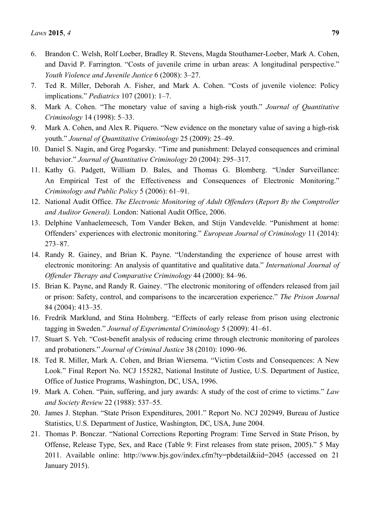- 6. Brandon C. Welsh, Rolf Loeber, Bradley R. Stevens, Magda Stouthamer-Loeber, Mark A. Cohen, and David P. Farrington. "Costs of juvenile crime in urban areas: A longitudinal perspective." *Youth Violence and Juvenile Justice* 6 (2008): 3–27.
- 7. Ted R. Miller, Deborah A. Fisher, and Mark A. Cohen. "Costs of juvenile violence: Policy implications." *Pediatrics* 107 (2001): 1–7.
- 8. Mark A. Cohen. "The monetary value of saving a high-risk youth." *Journal of Quantitative Criminology* 14 (1998): 5–33.
- 9. Mark A. Cohen, and Alex R. Piquero. "New evidence on the monetary value of saving a high-risk youth." *Journal of Quantitative Criminology* 25 (2009): 25–49.
- 10. Daniel S. Nagin, and Greg Pogarsky. "Time and punishment: Delayed consequences and criminal behavior." *Journal of Quantitative Criminology* 20 (2004): 295–317.
- 11. Kathy G. Padgett, William D. Bales, and Thomas G. Blomberg. "Under Surveillance: An Empirical Test of the Effectiveness and Consequences of Electronic Monitoring." *Criminology and Public Policy* 5 (2006): 61–91.
- 12. National Audit Office. *The Electronic Monitoring of Adult Offenders* (*Report By the Comptroller and Auditor General).* London: National Audit Office, 2006.
- 13. Delphine Vanhaelemeesch, Tom Vander Beken, and Stijn Vandevelde. "Punishment at home: Offenders' experiences with electronic monitoring." *European Journal of Criminology* 11 (2014): 273–87.
- 14. Randy R. Gainey, and Brian K. Payne. "Understanding the experience of house arrest with electronic monitoring: An analysis of quantitative and qualitative data." *International Journal of Offender Therapy and Comparative Criminology* 44 (2000): 84–96.
- 15. Brian K. Payne, and Randy R. Gainey. "The electronic monitoring of offenders released from jail or prison: Safety, control, and comparisons to the incarceration experience." *The Prison Journal* 84 (2004): 413–35.
- 16. Fredrik Marklund, and Stina Holmberg. "Effects of early release from prison using electronic tagging in Sweden." *Journal of Experimental Criminology* 5 (2009): 41–61.
- 17. Stuart S. Yeh. "Cost-benefit analysis of reducing crime through electronic monitoring of parolees and probationers." *Journal of Criminal Justice* 38 (2010): 1090–96.
- 18. Ted R. Miller, Mark A. Cohen, and Brian Wiersema. "Victim Costs and Consequences: A New Look." Final Report No. NCJ 155282, National Institute of Justice, U.S. Department of Justice, Office of Justice Programs, Washington, DC, USA, 1996.
- 19. Mark A. Cohen. "Pain, suffering, and jury awards: A study of the cost of crime to victims." *Law and Society Review* 22 (1988): 537–55.
- 20. James J. Stephan. "State Prison Expenditures, 2001." Report No. NCJ 202949, Bureau of Justice Statistics, U.S. Department of Justice, Washington, DC, USA, June 2004.
- 21. Thomas P. Bonczar. "National Corrections Reporting Program: Time Served in State Prison, by Offense, Release Type, Sex, and Race (Table 9: First releases from state prison, 2005)." 5 May 2011. Available online: http://www.bjs.gov/index.cfm?ty=pbdetail&iid=2045 (accessed on 21 January 2015).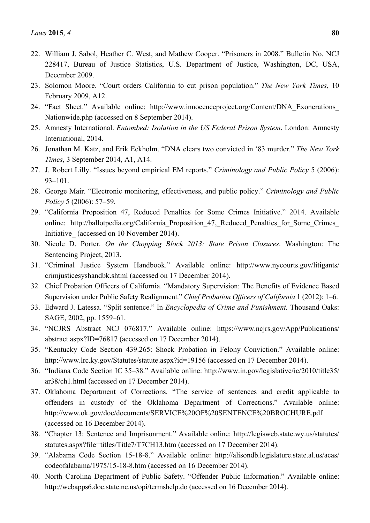- 22. William J. Sabol, Heather C. West, and Mathew Cooper. "Prisoners in 2008." Bulletin No. NCJ 228417, Bureau of Justice Statistics, U.S. Department of Justice, Washington, DC, USA, December 2009.
- 23. Solomon Moore. "Court orders California to cut prison population." *The New York Times*, 10 February 2009, A12.
- 24. "Fact Sheet." Available online: http://www.innocenceproject.org/Content/DNA\_Exonerations\_ Nationwide.php (accessed on 8 September 2014).
- 25. Amnesty International. *Entombed: Isolation in the US Federal Prison System*. London: Amnesty International, 2014.
- 26. Jonathan M. Katz, and Erik Eckholm. "DNA clears two convicted in '83 murder." *The New York Times*, 3 September 2014, A1, A14.
- 27. J. Robert Lilly. "Issues beyond empirical EM reports." *Criminology and Public Policy* 5 (2006): 93–101.
- 28. George Mair. "Electronic monitoring, effectiveness, and public policy." *Criminology and Public Policy* 5 (2006): 57–59.
- 29. "California Proposition 47, Reduced Penalties for Some Crimes Initiative." 2014. Available online: http://ballotpedia.org/California Proposition 47, Reduced Penalties for Some Crimes Initiative (accessed on 10 November 2014).
- 30. Nicole D. Porter. *On the Chopping Block 2013: State Prison Closures*. Washington: The Sentencing Project, 2013.
- 31. "Criminal Justice System Handbook." Available online: http://www.nycourts.gov/litigants/ crimjusticesyshandbk.shtml (accessed on 17 December 2014).
- 32. Chief Probation Officers of California. "Mandatory Supervision: The Benefits of Evidence Based Supervision under Public Safety Realignment." *Chief Probation Officers of California* 1 (2012): 1–6.
- 33. Edward J. Latessa. "Split sentence." In *Encyclopedia of Crime and Punishment.* Thousand Oaks: SAGE, 2002, pp. 1559–61.
- 34. "NCJRS Abstract NCJ 076817." Available online: https://www.ncjrs.gov/App/Publications/ abstract.aspx?ID=76817 (accessed on 17 December 2014).
- 35. "Kentucky Code Section 439.265: Shock Probation in Felony Conviction." Available online: http://www.lrc.ky.gov/Statutes/statute.aspx?id=19156 (accessed on 17 December 2014).
- 36. "Indiana Code Section IC 35–38." Available online: http://www.in.gov/legislative/ic/2010/title35/ ar38/ch1.html (accessed on 17 December 2014).
- 37. Oklahoma Department of Corrections. "The service of sentences and credit applicable to offenders in custody of the Oklahoma Department of Corrections." Available online: http://www.ok.gov/doc/documents/SERVICE%20OF%20SENTENCE%20BROCHURE.pdf (accessed on 16 December 2014).
- 38. "Chapter 13: Sentence and Imprisonment." Available online: http://legisweb.state.wy.us/statutes/ statutes.aspx?file=titles/Title7/T7CH13.htm (accessed on 17 December 2014).
- 39. "Alabama Code Section 15-18-8." Available online: http://alisondb.legislature.state.al.us/acas/ codeofalabama/1975/15-18-8.htm (accessed on 16 December 2014).
- 40. North Carolina Department of Public Safety. "Offender Public Information." Available online: http://webapps6.doc.state.nc.us/opi/termshelp.do (accessed on 16 December 2014).